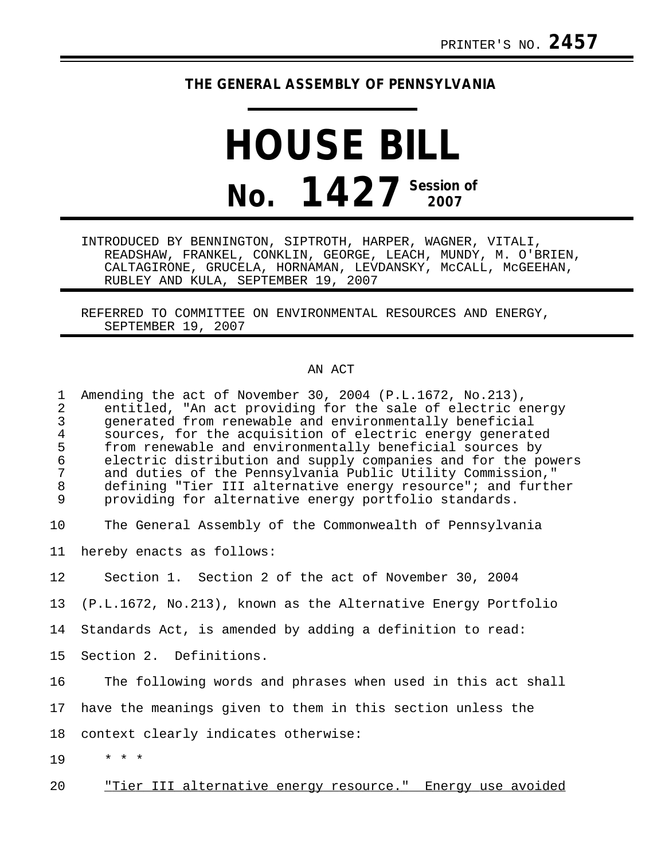## **THE GENERAL ASSEMBLY OF PENNSYLVANIA**

## **HOUSE BILL No. 1427 Session of 2007**

INTRODUCED BY BENNINGTON, SIPTROTH, HARPER, WAGNER, VITALI, READSHAW, FRANKEL, CONKLIN, GEORGE, LEACH, MUNDY, M. O'BRIEN, CALTAGIRONE, GRUCELA, HORNAMAN, LEVDANSKY, MCCALL, MCGEEHAN, RUBLEY AND KULA, SEPTEMBER 19, 2007

REFERRED TO COMMITTEE ON ENVIRONMENTAL RESOURCES AND ENERGY, SEPTEMBER 19, 2007

## AN ACT

| $\mathbf{1}$<br>2<br>$\mathfrak{Z}$<br>4<br>5<br>6<br>$\overline{7}$<br>8<br>9 | Amending the act of November 30, 2004 (P.L.1672, No.213),<br>entitled, "An act providing for the sale of electric energy<br>generated from renewable and environmentally beneficial<br>sources, for the acquisition of electric energy generated<br>from renewable and environmentally beneficial sources by<br>electric distribution and supply companies and for the powers<br>and duties of the Pennsylvania Public Utility Commission,"<br>defining "Tier III alternative energy resource"; and further<br>providing for alternative energy portfolio standards. |
|--------------------------------------------------------------------------------|----------------------------------------------------------------------------------------------------------------------------------------------------------------------------------------------------------------------------------------------------------------------------------------------------------------------------------------------------------------------------------------------------------------------------------------------------------------------------------------------------------------------------------------------------------------------|
| 10                                                                             | The General Assembly of the Commonwealth of Pennsylvania                                                                                                                                                                                                                                                                                                                                                                                                                                                                                                             |
| 11                                                                             | hereby enacts as follows:                                                                                                                                                                                                                                                                                                                                                                                                                                                                                                                                            |
| 12                                                                             | Section 1. Section 2 of the act of November 30, 2004                                                                                                                                                                                                                                                                                                                                                                                                                                                                                                                 |
| 13                                                                             | (P.L.1672, No.213), known as the Alternative Energy Portfolio                                                                                                                                                                                                                                                                                                                                                                                                                                                                                                        |
| 14                                                                             | Standards Act, is amended by adding a definition to read:                                                                                                                                                                                                                                                                                                                                                                                                                                                                                                            |
| 15                                                                             | Section 2. Definitions.                                                                                                                                                                                                                                                                                                                                                                                                                                                                                                                                              |
| 16                                                                             | The following words and phrases when used in this act shall                                                                                                                                                                                                                                                                                                                                                                                                                                                                                                          |
| 17                                                                             | have the meanings given to them in this section unless the                                                                                                                                                                                                                                                                                                                                                                                                                                                                                                           |
| 18                                                                             | context clearly indicates otherwise:                                                                                                                                                                                                                                                                                                                                                                                                                                                                                                                                 |
| 19                                                                             | $\star$ $\star$ $\star$                                                                                                                                                                                                                                                                                                                                                                                                                                                                                                                                              |
| 20                                                                             | "Tier III alternative energy resource." Energy use avoided                                                                                                                                                                                                                                                                                                                                                                                                                                                                                                           |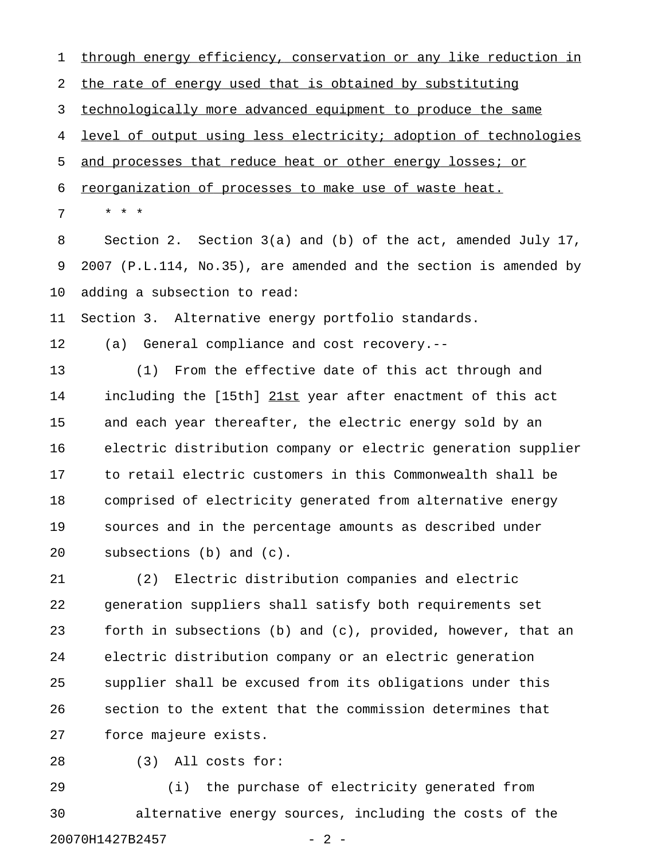1 through energy efficiency, conservation or any like reduction in 2 the rate of energy used that is obtained by substituting 3 technologically more advanced equipment to produce the same 4 level of output using less electricity; adoption of technologies 5 and processes that reduce heat or other energy losses; or 6 reorganization of processes to make use of waste heat. 7 \* \* \* 8 Section 2. Section 3(a) and (b) of the act, amended July 17, 9 2007 (P.L.114, No.35), are amended and the section is amended by 10 adding a subsection to read: 11 Section 3. Alternative energy portfolio standards. 12 (a) General compliance and cost recovery.-- 13 (1) From the effective date of this act through and 14 including the [15th] 21st year after enactment of this act 15 and each year thereafter, the electric energy sold by an 16 electric distribution company or electric generation supplier 17 to retail electric customers in this Commonwealth shall be 18 comprised of electricity generated from alternative energy 19 sources and in the percentage amounts as described under 20 subsections (b) and (c). 21 (2) Electric distribution companies and electric 22 generation suppliers shall satisfy both requirements set

23 forth in subsections (b) and (c), provided, however, that an 24 electric distribution company or an electric generation 25 supplier shall be excused from its obligations under this 26 section to the extent that the commission determines that 27 force majeure exists.

28 (3) All costs for:

29 (i) the purchase of electricity generated from 30 alternative energy sources, including the costs of the 20070H1427B2457 - 2 -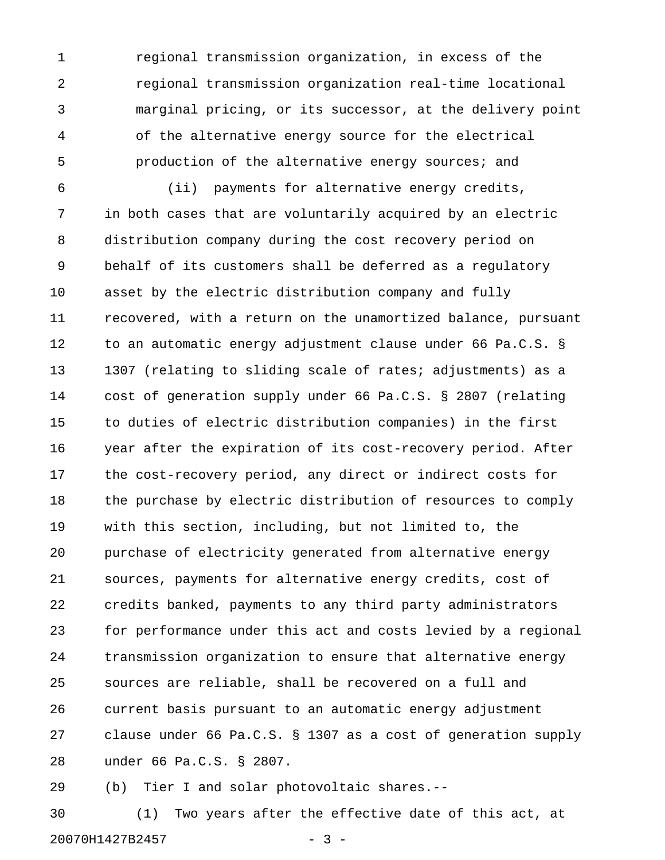1 regional transmission organization, in excess of the 2 regional transmission organization real-time locational 3 marginal pricing, or its successor, at the delivery point 4 of the alternative energy source for the electrical 5 production of the alternative energy sources; and

6 (ii) payments for alternative energy credits, 7 in both cases that are voluntarily acquired by an electric 8 distribution company during the cost recovery period on 9 behalf of its customers shall be deferred as a regulatory 10 asset by the electric distribution company and fully 11 recovered, with a return on the unamortized balance, pursuant 12 to an automatic energy adjustment clause under 66 Pa.C.S. § 13 1307 (relating to sliding scale of rates; adjustments) as a 14 cost of generation supply under 66 Pa.C.S. § 2807 (relating 15 to duties of electric distribution companies) in the first 16 year after the expiration of its cost-recovery period. After 17 the cost-recovery period, any direct or indirect costs for 18 the purchase by electric distribution of resources to comply 19 with this section, including, but not limited to, the 20 purchase of electricity generated from alternative energy 21 sources, payments for alternative energy credits, cost of 22 credits banked, payments to any third party administrators 23 for performance under this act and costs levied by a regional 24 transmission organization to ensure that alternative energy 25 sources are reliable, shall be recovered on a full and 26 current basis pursuant to an automatic energy adjustment 27 clause under 66 Pa.C.S. § 1307 as a cost of generation supply 28 under 66 Pa.C.S. § 2807.

29 (b) Tier I and solar photovoltaic shares.--

30 (1) Two years after the effective date of this act, at 20070H1427B2457 - 3 -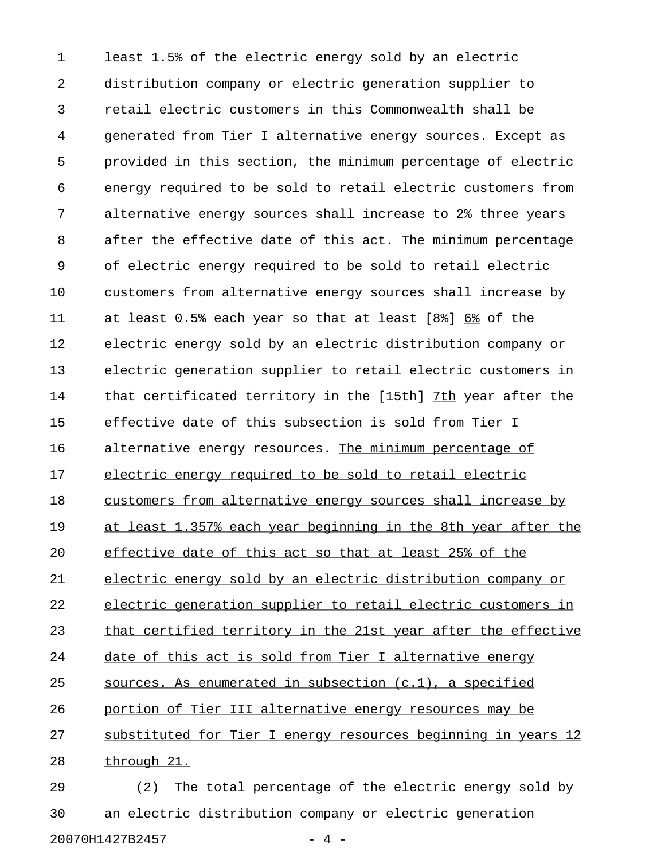1 least 1.5% of the electric energy sold by an electric 2 distribution company or electric generation supplier to 3 retail electric customers in this Commonwealth shall be 4 generated from Tier I alternative energy sources. Except as 5 provided in this section, the minimum percentage of electric 6 energy required to be sold to retail electric customers from 7 alternative energy sources shall increase to 2% three years 8 after the effective date of this act. The minimum percentage 9 of electric energy required to be sold to retail electric 10 customers from alternative energy sources shall increase by 11 at least  $0.5$ % each year so that at least  $[8\$   $6\$  of the 12 electric energy sold by an electric distribution company or 13 electric generation supplier to retail electric customers in 14 that certificated territory in the [15th] 7th year after the 15 effective date of this subsection is sold from Tier I 16 alternative energy resources. The minimum percentage of 17 electric energy required to be sold to retail electric 18 customers from alternative energy sources shall increase by 19 at least 1.357% each year beginning in the 8th year after the 20 effective date of this act so that at least 25% of the 21 electric energy sold by an electric distribution company or 22 electric generation supplier to retail electric customers in 23 that certified territory in the 21st year after the effective 24 date of this act is sold from Tier I alternative energy 25 sources. As enumerated in subsection  $(c.1)$ , a specified 26 portion of Tier III alternative energy resources may be 27 substituted for Tier I energy resources beginning in years 12 28 through 21. 29 (2) The total percentage of the electric energy sold by

30 an electric distribution company or electric generation 20070H1427B2457 - 4 -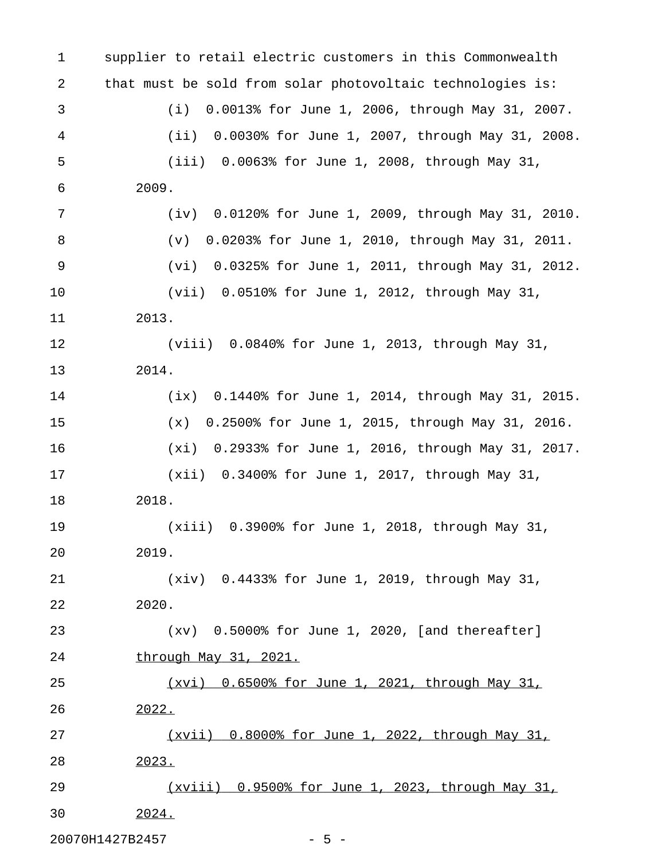1 supplier to retail electric customers in this Commonwealth 2 that must be sold from solar photovoltaic technologies is: 3 (i) 0.0013% for June 1, 2006, through May 31, 2007. 4 (ii) 0.0030% for June 1, 2007, through May 31, 2008. 5 (iii) 0.0063% for June 1, 2008, through May 31, 6 2009. 7 (iv) 0.0120% for June 1, 2009, through May 31, 2010. 8 (v) 0.0203% for June 1, 2010, through May 31, 2011. 9 (vi) 0.0325% for June 1, 2011, through May 31, 2012. 10 (vii) 0.0510% for June 1, 2012, through May 31, 11 2013. 12 (viii) 0.0840% for June 1, 2013, through May 31, 13 2014. 14 (ix) 0.1440% for June 1, 2014, through May 31, 2015. 15 (x) 0.2500% for June 1, 2015, through May 31, 2016. 16 (xi) 0.2933% for June 1, 2016, through May 31, 2017. 17 (xii) 0.3400% for June 1, 2017, through May 31, 18 2018. 19 (xiii) 0.3900% for June 1, 2018, through May 31, 20 2019. 21 (xiv) 0.4433% for June 1, 2019, through May 31, 22 2020. 23 (xv) 0.5000% for June 1, 2020, [and thereafter] 24 through May 31, 2021. 25 (xvi) 0.6500% for June 1, 2021, through May 31, 26 2022. 27 (xvii) 0.8000% for June 1, 2022, through May 31, \_\_\_\_\_\_\_\_\_\_\_\_\_\_\_\_\_\_\_\_\_\_\_\_\_\_\_\_\_\_\_\_\_\_\_\_\_\_\_\_\_\_\_\_\_\_\_\_\_ 28 2023. \_\_\_\_\_ 29 (xviii) 0.9500% for June 1, 2023, through May 31, \_\_\_\_\_\_\_\_\_\_\_\_\_\_\_\_\_\_\_\_\_\_\_\_\_\_\_\_\_\_\_\_\_\_\_\_\_\_\_\_\_\_\_\_\_\_\_\_\_\_ 30 2024. \_\_\_\_\_

20070H1427B2457 - 5 -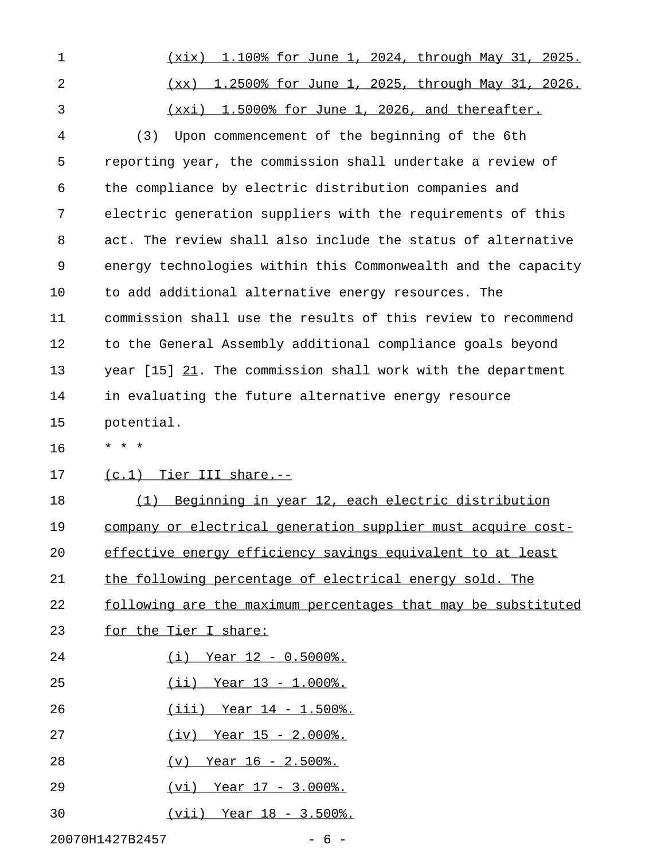| 1              | (xix) 1.100% for June 1, 2024, through May 31, 2025.          |
|----------------|---------------------------------------------------------------|
| $\overline{2}$ | (xx) 1.2500% for June 1, 2025, through May 31, 2026.          |
| 3              | (xxi) 1.5000% for June 1, 2026, and thereafter.               |
| 4              | Upon commencement of the beginning of the 6th<br>(3)          |
| 5              | reporting year, the commission shall undertake a review of    |
| 6              | the compliance by electric distribution companies and         |
| 7              | electric generation suppliers with the requirements of this   |
| 8              | act. The review shall also include the status of alternative  |
| 9              | energy technologies within this Commonwealth and the capacity |
| 10             | to add additional alternative energy resources. The           |
| 11             | commission shall use the results of this review to recommend  |
| 12             | to the General Assembly additional compliance goals beyond    |
| 13             | year [15] 21. The commission shall work with the department   |
| 14             | in evaluating the future alternative energy resource          |
| 15             | potential.                                                    |
|                |                                                               |
| 16             | * * *                                                         |
| 17             | $(c.1)$ Tier III share.--                                     |
| 18             | Beginning in year 12, each electric distribution<br>(1)       |
| 19             | company or electrical generation supplier must acquire cost-  |
| 20             | effective energy efficiency savings equivalent to at least    |
| 21             | the following percentage of electrical energy sold. The       |
| 22             | following are the maximum percentages that may be substituted |
| 23             | for the Tier I share:                                         |
| 24             | $(i)$ Year 12 - 0.5000%.                                      |
| 25             | $(iii)$ Year 13 - 1.000%.                                     |
| 26             | $(iii)$ Year 14 - 1.500%.                                     |
| 27             | $(iv)$ Year 15 - 2.000%.                                      |
| 28             | $(v)$ Year 16 - 2.500%.                                       |
| 29             | $(vi)$ Year $17 - 3.000$ .                                    |

20070H1427B2457 - 6 -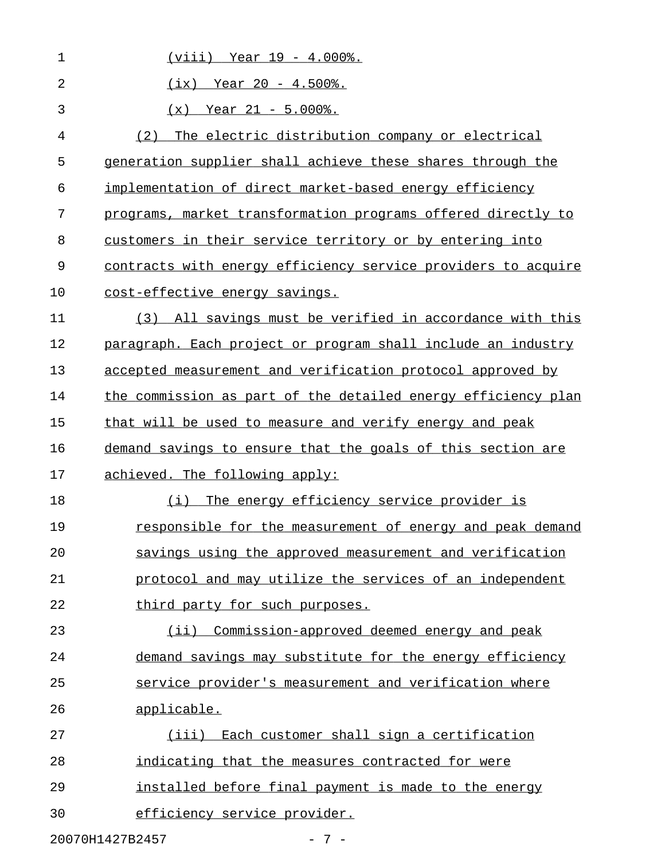| 1              | $(viii)$ Year $19 - 4.000$ .                                  |
|----------------|---------------------------------------------------------------|
| $\overline{2}$ | $(ix)$ Year 20 - 4.500%.                                      |
| 3              | $(x)$ Year 21 - 5.000%.                                       |
| 4              | The electric distribution company or electrical<br>(2)        |
| 5              | generation supplier shall achieve these shares through the    |
| 6              | implementation of direct market-based energy efficiency       |
| 7              | programs, market transformation programs offered directly to  |
| 8              | customers in their service territory or by entering into      |
| 9              | contracts with energy efficiency service providers to acquire |
| 10             | cost-effective energy savings.                                |
| 11             | All savings must be verified in accordance with this<br>(3)   |
| 12             | paragraph. Each project or program shall include an industry  |
| 13             | accepted measurement and verification protocol approved by    |
| 14             | the commission as part of the detailed energy efficiency plan |
| 15             | that will be used to measure and verify energy and peak       |
| 16             | demand savings to ensure that the goals of this section are   |
| 17             | achieved. The following apply:                                |
| 18             | The energy efficiency service provider is<br>(i)              |
| 19             | responsible for the measurement of energy and peak demand     |
| 20             | savings using the approved measurement and verification       |
| 21             | protocol and may utilize the services of an independent       |
| 22             | third party for such purposes.                                |
| 23             | (ii) Commission-approved deemed energy and peak               |
| 24             | demand savings may substitute for the energy efficiency       |
| 25             | service provider's measurement and verification where         |
| 26             | applicable.                                                   |
| 27             | (iii) Each customer shall sign a certification                |
| 28             | indicating that the measures contracted for were              |
| 29             | installed before final payment is made to the energy          |
| 30             | efficiency service provider.                                  |
|                | 20070H1427B2457<br>$-7-$                                      |